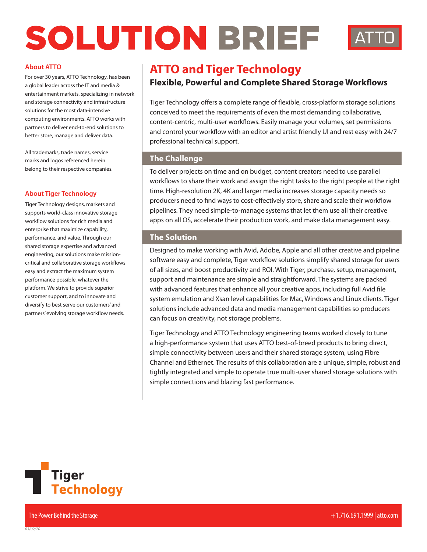# SOLUTION BRIEF



#### **About ATTO**

a global leader across the IT and media & entertainment markets, specializing in network and storage connectivity and infrastructure solutions for the most data-intensive computing environments. ATTO works with partners to deliver end-to-end solutions to better store, manage and deliver data.

All trademarks, trade names, service marks and logos referenced herein belong to their respective companies.

#### **About Tiger Technology**

Tiger Technology designs, markets and supports world-class innovative storage workflow solutions for rich media and enterprise that maximize capability, performance, and value. Through our shared storage expertise and advanced engineering, our solutions make missioncritical and collaborative storage workflows easy and extract the maximum system performance possible, whatever the platform. We strive to provide superior customer support, and to innovate and diversify to best serve our customers' and partners' evolving storage workflow needs.

## **About ATTO**<br>For over 30 years, ATTO Technology, has been **ATTO and Tiger Technology**

### **Flexible, Powerful and Complete Shared Storage Workflows**

Tiger Technology offers a complete range of flexible, cross-platform storage solutions conceived to meet the requirements of even the most demanding collaborative, content-centric, multi-user workflows. Easily manage your volumes, set permissions and control your workflow with an editor and artist friendly UI and rest easy with 24/7 professional technical support.

#### **The Challenge**

To deliver projects on time and on budget, content creators need to use parallel workflows to share their work and assign the right tasks to the right people at the right time. High-resolution 2K, 4K and larger media increases storage capacity needs so producers need to find ways to cost-effectively store, share and scale their workflow pipelines. They need simple-to-manage systems that let them use all their creative apps on all OS, accelerate their production work, and make data management easy.

#### **The Solution**

Designed to make working with Avid, Adobe, Apple and all other creative and pipeline software easy and complete, Tiger workflow solutions simplify shared storage for users of all sizes, and boost productivity and ROI. With Tiger, purchase, setup, management, support and maintenance are simple and straightforward. The systems are packed with advanced features that enhance all your creative apps, including full Avid file system emulation and Xsan level capabilities for Mac, Windows and Linux clients. Tiger solutions include advanced data and media management capabilities so producers can focus on creativity, not storage problems.

Tiger Technology and ATTO Technology engineering teams worked closely to tune a high-performance system that uses ATTO best-of-breed products to bring direct, simple connectivity between users and their shared storage system, using Fibre Channel and Ethernet. The results of this collaboration are a unique, simple, robust and tightly integrated and simple to operate true multi-user shared storage solutions with simple connections and blazing fast performance.